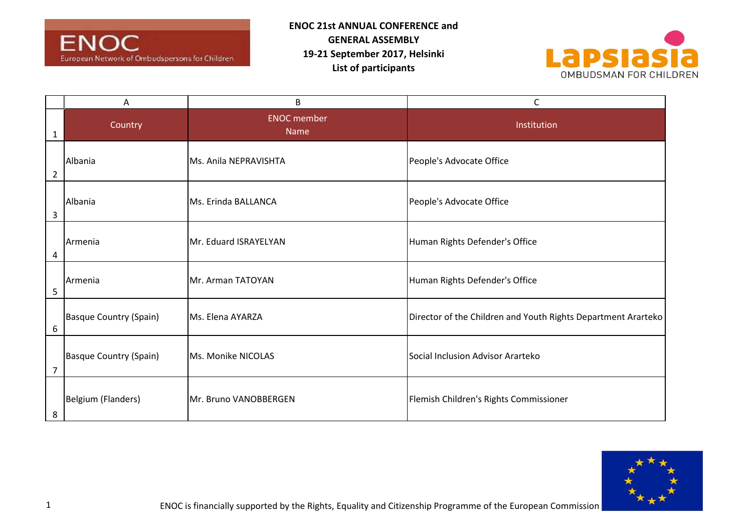



|   | Α                             | B                          | C                                                             |
|---|-------------------------------|----------------------------|---------------------------------------------------------------|
| 1 | Country                       | <b>ENOC</b> member<br>Name | Institution                                                   |
| 2 | Albania                       | Ms. Anila NEPRAVISHTA      | People's Advocate Office                                      |
| 3 | Albania                       | Ms. Erinda BALLANCA        | People's Advocate Office                                      |
| 4 | Armenia                       | Mr. Eduard ISRAYELYAN      | Human Rights Defender's Office                                |
| 5 | Armenia                       | Mr. Arman TATOYAN          | Human Rights Defender's Office                                |
| 6 | <b>Basque Country (Spain)</b> | Ms. Elena AYARZA           | Director of the Children and Youth Rights Department Ararteko |
| 7 | <b>Basque Country (Spain)</b> | Ms. Monike NICOLAS         | Social Inclusion Advisor Ararteko                             |
| 8 | Belgium (Flanders)            | Mr. Bruno VANOBBERGEN      | Flemish Children's Rights Commissioner                        |

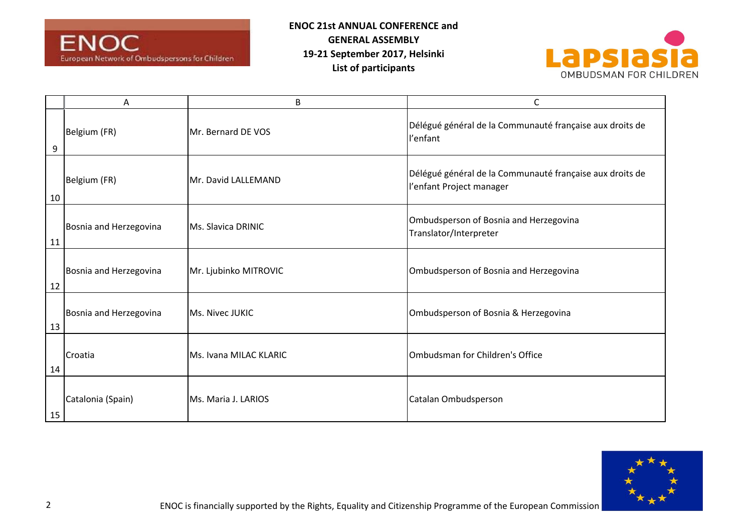



|    | A                      | B                      | C                                                                                    |
|----|------------------------|------------------------|--------------------------------------------------------------------------------------|
| 9  | Belgium (FR)           | Mr. Bernard DE VOS     | Délégué général de la Communauté française aux droits de<br>l'enfant                 |
| 10 | Belgium (FR)           | Mr. David LALLEMAND    | Délégué général de la Communauté française aux droits de<br>l'enfant Project manager |
| 11 | Bosnia and Herzegovina | Ms. Slavica DRINIC     | Ombudsperson of Bosnia and Herzegovina<br>Translator/Interpreter                     |
| 12 | Bosnia and Herzegovina | Mr. Ljubinko MITROVIC  | Ombudsperson of Bosnia and Herzegovina                                               |
| 13 | Bosnia and Herzegovina | Ms. Nivec JUKIC        | Ombudsperson of Bosnia & Herzegovina                                                 |
| 14 | Croatia                | Ms. Ivana MILAC KLARIC | Ombudsman for Children's Office                                                      |
| 15 | Catalonia (Spain)      | Ms. Maria J. LARIOS    | Catalan Ombudsperson                                                                 |

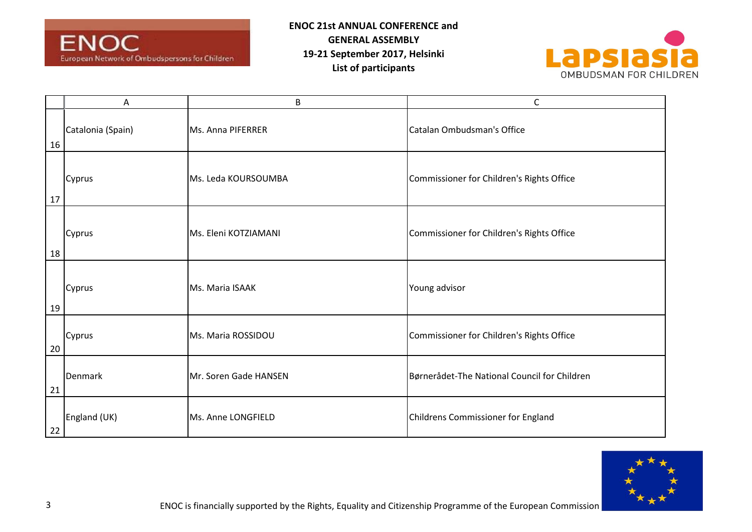



|    | А                 | B                     | C                                            |
|----|-------------------|-----------------------|----------------------------------------------|
| 16 | Catalonia (Spain) | Ms. Anna PIFERRER     | Catalan Ombudsman's Office                   |
| 17 | Cyprus            | Ms. Leda KOURSOUMBA   | Commissioner for Children's Rights Office    |
| 18 | Cyprus            | Ms. Eleni KOTZIAMANI  | Commissioner for Children's Rights Office    |
| 19 | Cyprus            | Ms. Maria ISAAK       | Young advisor                                |
| 20 | Cyprus            | Ms. Maria ROSSIDOU    | Commissioner for Children's Rights Office    |
| 21 | Denmark           | Mr. Soren Gade HANSEN | Børnerådet-The National Council for Children |
| 22 | England (UK)      | Ms. Anne LONGFIELD    | Childrens Commissioner for England           |

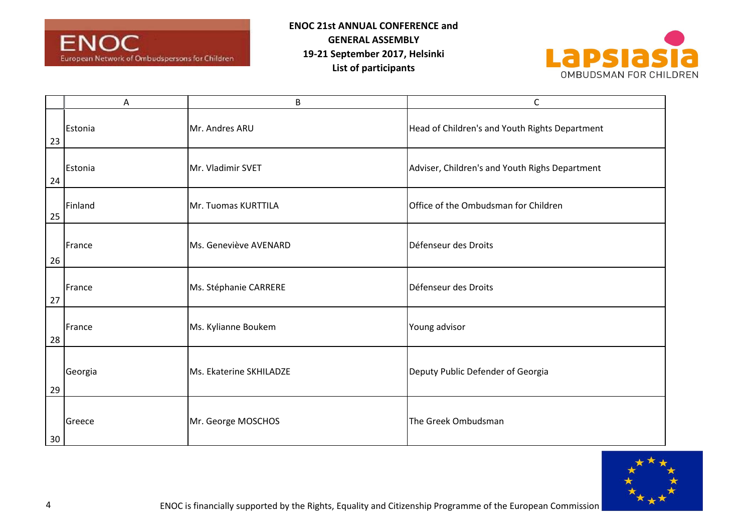



|    | A       | B                       | C                                              |
|----|---------|-------------------------|------------------------------------------------|
| 23 | Estonia | Mr. Andres ARU          | Head of Children's and Youth Rights Department |
| 24 | Estonia | Mr. Vladimir SVET       | Adviser, Children's and Youth Righs Department |
| 25 | Finland | Mr. Tuomas KURTTILA     | Office of the Ombudsman for Children           |
| 26 | France  | Ms. Geneviève AVENARD   | Défenseur des Droits                           |
| 27 | France  | Ms. Stéphanie CARRERE   | Défenseur des Droits                           |
| 28 | France  | Ms. Kylianne Boukem     | Young advisor                                  |
| 29 | Georgia | Ms. Ekaterine SKHILADZE | Deputy Public Defender of Georgia              |
| 30 | Greece  | Mr. George MOSCHOS      | The Greek Ombudsman                            |

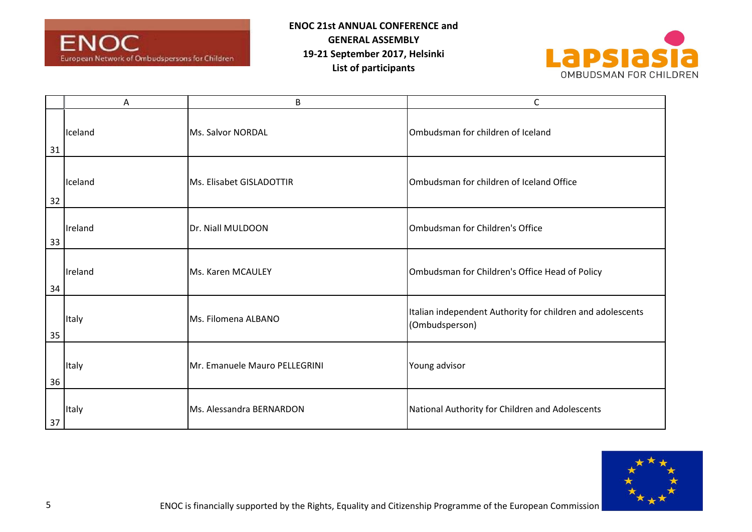



|    | Α            | B                             | C                                                                            |
|----|--------------|-------------------------------|------------------------------------------------------------------------------|
| 31 | Iceland      | Ms. Salvor NORDAL             | Ombudsman for children of Iceland                                            |
| 32 | Iceland      | Ms. Elisabet GISLADOTTIR      | Ombudsman for children of Iceland Office                                     |
| 33 | Ireland      | Dr. Niall MULDOON             | Ombudsman for Children's Office                                              |
| 34 | Ireland      | Ms. Karen MCAULEY             | Ombudsman for Children's Office Head of Policy                               |
| 35 | <b>Italy</b> | Ms. Filomena ALBANO           | Italian independent Authority for children and adolescents<br>(Ombudsperson) |
| 36 | Italy        | Mr. Emanuele Mauro PELLEGRINI | Young advisor                                                                |
| 37 | <b>Italy</b> | Ms. Alessandra BERNARDON      | National Authority for Children and Adolescents                              |

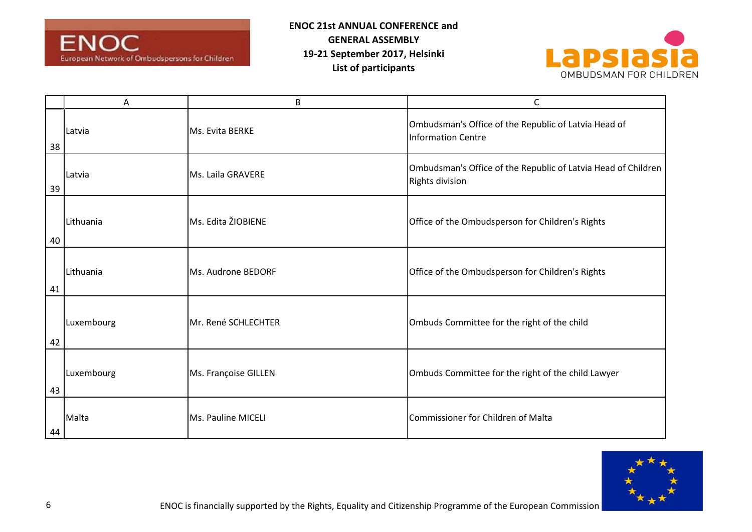



|    | Α          | B                    | C                                                                                 |
|----|------------|----------------------|-----------------------------------------------------------------------------------|
| 38 | Latvia     | Ms. Evita BERKE      | Ombudsman's Office of the Republic of Latvia Head of<br><b>Information Centre</b> |
| 39 | Latvia     | Ms. Laila GRAVERE    | Ombudsman's Office of the Republic of Latvia Head of Children<br>Rights division  |
| 40 | Lithuania  | Ms. Edita ŽIOBIENE   | Office of the Ombudsperson for Children's Rights                                  |
| 41 | Lithuania  | Ms. Audrone BEDORF   | Office of the Ombudsperson for Children's Rights                                  |
| 42 | Luxembourg | Mr. René SCHLECHTER  | Ombuds Committee for the right of the child                                       |
| 43 | Luxembourg | Ms. Françoise GILLEN | Ombuds Committee for the right of the child Lawyer                                |
| 44 | Malta      | Ms. Pauline MICELI   | <b>Commissioner for Children of Malta</b>                                         |

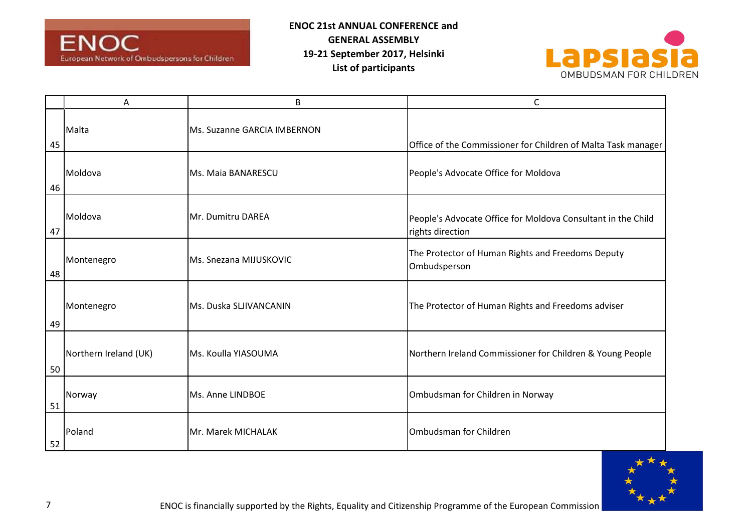



|    | Α                     | B                           | С                                                                                |
|----|-----------------------|-----------------------------|----------------------------------------------------------------------------------|
| 45 | Malta                 | Ms. Suzanne GARCIA IMBERNON | Office of the Commissioner for Children of Malta Task manager                    |
| 46 | Moldova               | Ms. Maia BANARESCU          | People's Advocate Office for Moldova                                             |
| 47 | Moldova               | Mr. Dumitru DAREA           | People's Advocate Office for Moldova Consultant in the Child<br>rights direction |
| 48 | Montenegro            | Ms. Snezana MIJUSKOVIC      | The Protector of Human Rights and Freedoms Deputy<br>Ombudsperson                |
| 49 | Montenegro            | Ms. Duska SLJIVANCANIN      | The Protector of Human Rights and Freedoms adviser                               |
| 50 | Northern Ireland (UK) | Ms. Koulla YIASOUMA         | Northern Ireland Commissioner for Children & Young People                        |
| 51 | Norway                | Ms. Anne LINDBOE            | Ombudsman for Children in Norway                                                 |
| 52 | Poland                | Mr. Marek MICHALAK          | Ombudsman for Children                                                           |

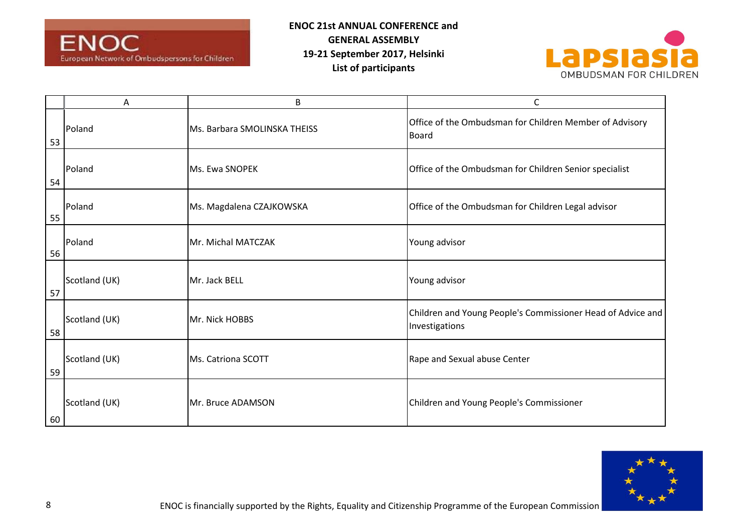



|    | А             | B                            | C                                                                             |
|----|---------------|------------------------------|-------------------------------------------------------------------------------|
| 53 | Poland        | Ms. Barbara SMOLINSKA THEISS | Office of the Ombudsman for Children Member of Advisory<br>Board              |
| 54 | Poland        | Ms. Ewa SNOPEK               | Office of the Ombudsman for Children Senior specialist                        |
| 55 | Poland        | Ms. Magdalena CZAJKOWSKA     | Office of the Ombudsman for Children Legal advisor                            |
| 56 | Poland        | Mr. Michal MATCZAK           | Young advisor                                                                 |
| 57 | Scotland (UK) | Mr. Jack BELL                | Young advisor                                                                 |
| 58 | Scotland (UK) | Mr. Nick HOBBS               | Children and Young People's Commissioner Head of Advice and<br>Investigations |
| 59 | Scotland (UK) | Ms. Catriona SCOTT           | Rape and Sexual abuse Center                                                  |
| 60 | Scotland (UK) | Mr. Bruce ADAMSON            | Children and Young People's Commissioner                                      |

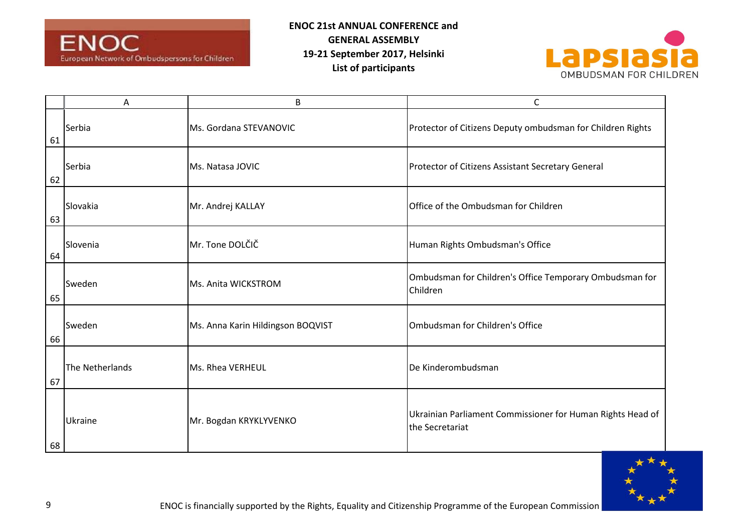



|    | Α               | $\sf B$                           | C                                                                             |
|----|-----------------|-----------------------------------|-------------------------------------------------------------------------------|
| 61 | Serbia          | Ms. Gordana STEVANOVIC            | Protector of Citizens Deputy ombudsman for Children Rights                    |
| 62 | Serbia          | Ms. Natasa JOVIC                  | Protector of Citizens Assistant Secretary General                             |
| 63 | Slovakia        | Mr. Andrej KALLAY                 | Office of the Ombudsman for Children                                          |
| 64 | Slovenia        | Mr. Tone DOLČIČ                   | Human Rights Ombudsman's Office                                               |
| 65 | Sweden          | Ms. Anita WICKSTROM               | Ombudsman for Children's Office Temporary Ombudsman for<br>Children           |
| 66 | Sweden          | Ms. Anna Karin Hildingson BOQVIST | Ombudsman for Children's Office                                               |
| 67 | The Netherlands | Ms. Rhea VERHEUL                  | De Kinderombudsman                                                            |
| 68 | Ukraine         | Mr. Bogdan KRYKLYVENKO            | Ukrainian Parliament Commissioner for Human Rights Head of<br>the Secretariat |

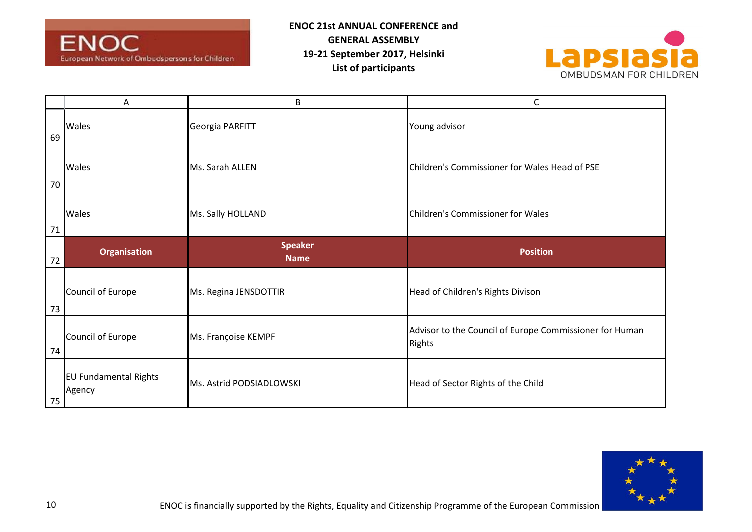



|    | А                   | B                     | С                                                                        |
|----|---------------------|-----------------------|--------------------------------------------------------------------------|
| 69 | <b>Wales</b>        | Georgia PARFITT       | Young advisor                                                            |
| 70 | <b>Wales</b>        | Ms. Sarah ALLEN       | Children's Commissioner for Wales Head of PSE                            |
| 71 | <b>Wales</b>        | Ms. Sally HOLLAND     | Children's Commissioner for Wales                                        |
|    | <b>Organisation</b> | <b>Speaker</b>        | <b>Position</b>                                                          |
| 72 |                     | <b>Name</b>           |                                                                          |
| 73 | Council of Europe   | Ms. Regina JENSDOTTIR | Head of Children's Rights Divison                                        |
| 74 | Council of Europe   | Ms. Françoise KEMPF   | Advisor to the Council of Europe Commissioner for Human<br><b>Rights</b> |

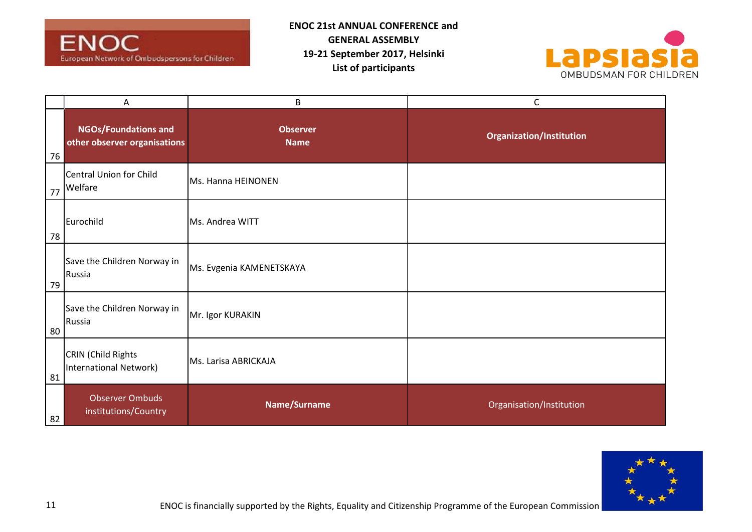



|    | Α                                                           | B                              | $\mathsf{C}$                    |
|----|-------------------------------------------------------------|--------------------------------|---------------------------------|
| 76 | <b>NGOs/Foundations and</b><br>other observer organisations | <b>Observer</b><br><b>Name</b> | <b>Organization/Institution</b> |
| 77 | Central Union for Child<br>Welfare                          | Ms. Hanna HEINONEN             |                                 |
| 78 | Eurochild                                                   | Ms. Andrea WITT                |                                 |
| 79 | Save the Children Norway in<br>Russia                       | Ms. Evgenia KAMENETSKAYA       |                                 |
| 80 | Save the Children Norway in<br>Russia                       | Mr. Igor KURAKIN               |                                 |
| 81 | CRIN (Child Rights<br>International Network)                | Ms. Larisa ABRICKAJA           |                                 |
| 82 | <b>Observer Ombuds</b><br>institutions/Country              | Name/Surname                   | Organisation/Institution        |

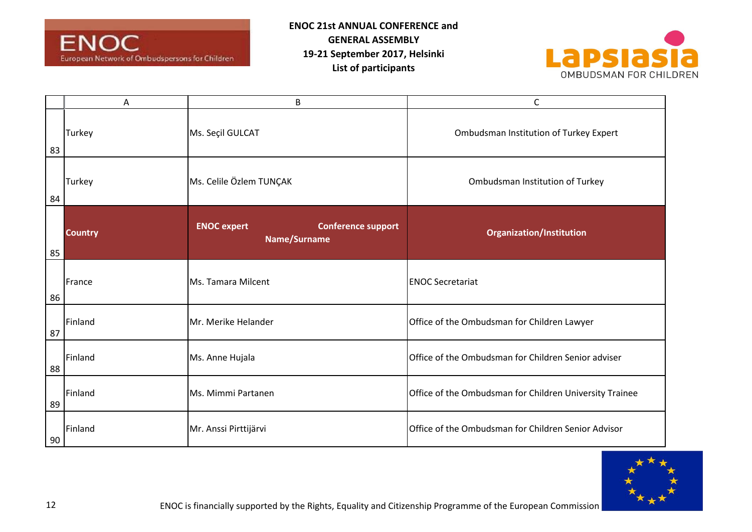



|    | Α              | $\sf B$                                                         | C                                                       |
|----|----------------|-----------------------------------------------------------------|---------------------------------------------------------|
| 83 | Turkey         | Ms. Seçil GULCAT                                                | Ombudsman Institution of Turkey Expert                  |
| 84 | Turkey         | Ms. Celile Özlem TUNÇAK                                         | Ombudsman Institution of Turkey                         |
| 85 | <b>Country</b> | <b>ENOC expert</b><br><b>Conference support</b><br>Name/Surname | <b>Organization/Institution</b>                         |
| 86 | France         | Ms. Tamara Milcent                                              | <b>ENOC Secretariat</b>                                 |
| 87 | Finland        | Mr. Merike Helander                                             | Office of the Ombudsman for Children Lawyer             |
| 88 | Finland        | Ms. Anne Hujala                                                 | Office of the Ombudsman for Children Senior adviser     |
| 89 | Finland        | Ms. Mimmi Partanen                                              | Office of the Ombudsman for Children University Trainee |
| 90 | Finland        | Mr. Anssi Pirttijärvi                                           | Office of the Ombudsman for Children Senior Advisor     |